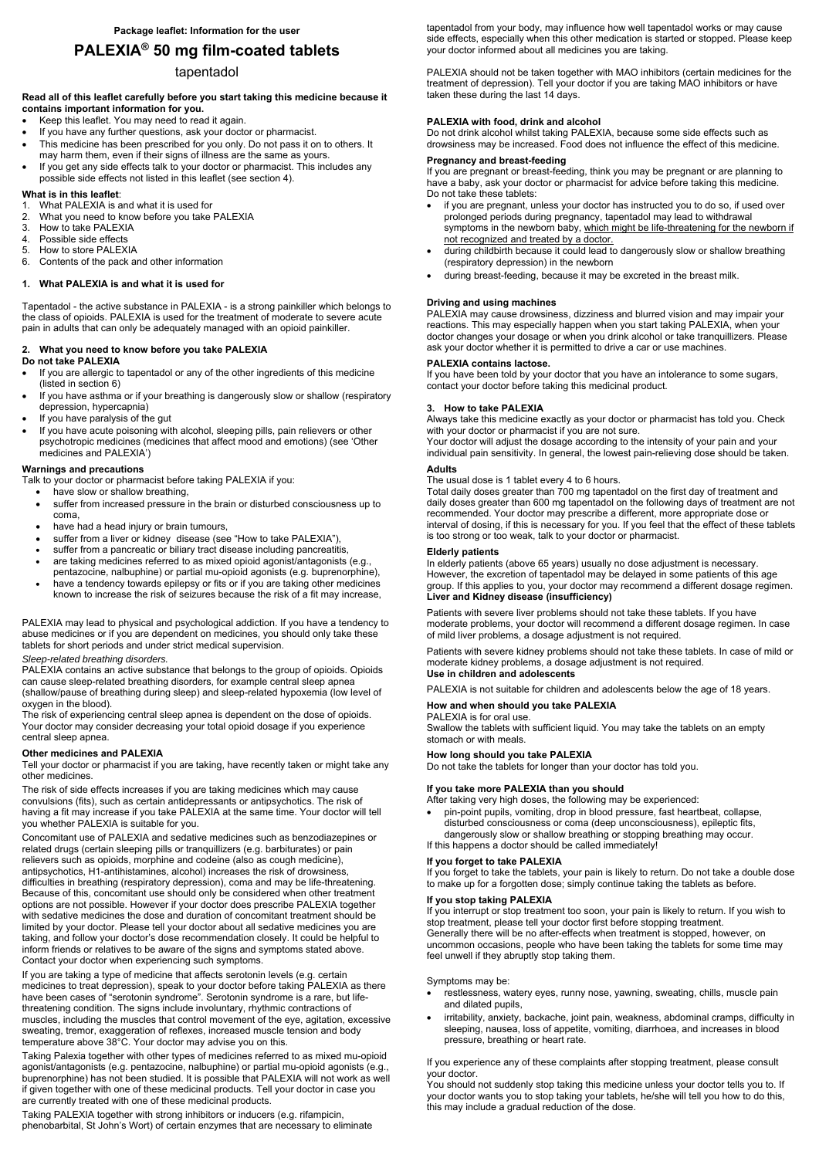# **PALEXIA® 50 mg film-coated tablets**

## tapentadol

#### **Read all of this leaflet carefully before you start taking this medicine because it contains important information for you.**

- Keep this leaflet. You may need to read it again.
- If you have any further questions, ask your doctor or pharmacist.
- This medicine has been prescribed for you only. Do not pass it on to others. It may harm them, even if their signs of illness are the same as yours.
- If you get any side effects talk to your doctor or pharmacist. This includes any possible side effects not listed in this leaflet (see section 4).

#### **What is in this leaflet**:

- 1. What PALEXIA is and what it is used for
- 2. What you need to know before you take PALEXIA
- 3. How to take PALEXIA
- 4. Possible side effects
- 5. How to store PALEXIA
- 6. Contents of the pack and other information

#### **1. What PALEXIA is and what it is used for**

Tapentadol - the active substance in PALEXIA - is a strong painkiller which belongs to the class of opioids. PALEXIA is used for the treatment of moderate to severe acute pain in adults that can only be adequately managed with an opioid painkiller.

#### **2. What you need to know before you take PALEXIA Do not take PALEXIA**

- If you are allergic to tapentadol or any of the other ingredients of this medicine (listed in section 6)
- If you have asthma or if your breathing is dangerously slow or shallow (respiratory depression, hypercapnia)
- If you have paralysis of the gut
- If you have acute poisoning with alcohol, sleeping pills, pain relievers or other psychotropic medicines (medicines that affect mood and emotions) (see 'Other medicines and PALEXIA')

## **Warnings and precautions**

Talk to your doctor or pharmacist before taking PALEXIA if you:

- have slow or shallow breathing,
- suffer from increased pressure in the brain or disturbed consciousness up to coma,
- have had a head injury or brain tumours,
- suffer from a liver or kidney disease (see "How to take PALEXIA"),
- suffer from a pancreatic or biliary tract disease including pancreatitis,
- are taking medicines referred to as mixed opioid agonist/antagonists (e.g., pentazocine, nalbuphine) or partial mu-opioid agonists (e.g. buprenorphine),
- have a tendency towards epilepsy or fits or if you are taking other medicines known to increase the risk of seizures because the risk of a fit may increase,

PALEXIA may lead to physical and psychological addiction. If you have a tendency to abuse medicines or if you are dependent on medicines, you should only take these tablets for short periods and under strict medical supervision.

#### *Sleep-related breathing disorders.*

PALEXIA contains an active substance that belongs to the group of opioids. Opioids can cause sleep-related breathing disorders, for example central sleep apnea (shallow/pause of breathing during sleep) and sleep-related hypoxemia (low level of oxygen in the blood).

The risk of experiencing central sleep apnea is dependent on the dose of opioids. Your doctor may consider decreasing your total opioid dosage if you experience central sleep apnea.

#### **Other medicines and PALEXIA**

Tell your doctor or pharmacist if you are taking, have recently taken or might take any other medicines.

The risk of side effects increases if you are taking medicines which may cause convulsions (fits), such as certain antidepressants or antipsychotics. The risk of having a fit may increase if you take PALEXIA at the same time. Your doctor will tell you whether PALEXIA is suitable for you.

Concomitant use of PALEXIA and sedative medicines such as benzodiazepines or related drugs (certain sleeping pills or tranquillizers (e.g. barbiturates) or pain relievers such as opioids, morphine and codeine (also as cough medicine), antipsychotics, H1-antihistamines, alcohol) increases the risk of drowsiness,

difficulties in breathing (respiratory depression), coma and may be life-threatening. Because of this, concomitant use should only be considered when other treatment options are not possible. However if your doctor does prescribe PALEXIA together with sedative medicines the dose and duration of concomitant treatment should be limited by your doctor. Please tell your doctor about all sedative medicines you are taking, and follow your doctor's dose recommendation closely. It could be helpful to inform friends or relatives to be aware of the signs and symptoms stated above. Contact your doctor when experiencing such symptoms.

If you are taking a type of medicine that affects serotonin levels (e.g. certain medicines to treat depression), speak to your doctor before taking PALEXIA as there have been cases of "serotonin syndrome". Serotonin syndrome is a rare, but lifethreatening condition. The signs include involuntary, rhythmic contractions of muscles, including the muscles that control movement of the eye, agitation, excessive sweating, tremor, exaggeration of reflexes, increased muscle tension and body temperature above 38°C. Your doctor may advise you on this.

Taking Palexia together with other types of medicines referred to as mixed mu-opioid agonist/antagonists (e.g. pentazocine, nalbuphine) or partial mu-opioid agonists (e.g., buprenorphine) has not been studied. It is possible that PALEXIA will not work as well if given together with one of these medicinal products. Tell your doctor in case you are currently treated with one of these medicinal products.

Taking PALEXIA together with strong inhibitors or inducers (e.g. rifampicin, phenobarbital, St John's Wort) of certain enzymes that are necessary to eliminate tapentadol from your body, may influence how well tapentadol works or may cause side effects, especially when this other medication is started or stopped. Please keep your doctor informed about all medicines you are taking.

PALEXIA should not be taken together with MAO inhibitors (certain medicines for the treatment of depression). Tell your doctor if you are taking MAO inhibitors or have taken these during the last 14 days.

#### **PALEXIA with food, drink and alcohol**

Do not drink alcohol whilst taking PALEXIA, because some side effects such as drowsiness may be increased. Food does not influence the effect of this medicine.

#### **Pregnancy and breast-feeding**

If you are pregnant or breast-feeding, think you may be pregnant or are planning to have a baby, ask your doctor or pharmacist for advice before taking this medicine. Do not take these tablets:

- if you are pregnant, unless your doctor has instructed you to do so, if used over prolonged periods during pregnancy, tapentadol may lead to withdrawal symptoms in the newborn baby, which might be life-threatening for the newborn if not recognized and treated by a doctor.
- during childbirth because it could lead to dangerously slow or shallow breathing (respiratory depression) in the newborn
- during breast-feeding, because it may be excreted in the breast milk.

#### **Driving and using machines**

PALEXIA may cause drowsiness, dizziness and blurred vision and may impair your reactions. This may especially happen when you start taking PALEXIA, when your doctor changes your dosage or when you drink alcohol or take tranquillizers. Please ask your doctor whether it is permitted to drive a car or use machines.

#### **PALEXIA contains lactose.**

If you have been told by your doctor that you have an intolerance to some sugars, contact your doctor before taking this medicinal product.

#### **3. How to take PALEXIA**

Always take this medicine exactly as your doctor or pharmacist has told you. Check with your doctor or pharmacist if you are not sure.

Your doctor will adjust the dosage according to the intensity of your pain and your individual pain sensitivity. In general, the lowest pain-relieving dose should be taken.

#### **Adults**

The usual dose is 1 tablet every 4 to 6 hours.

Total daily doses greater than 700 mg tapentadol on the first day of treatment and daily doses greater than 600 mg tapentadol on the following days of treatment are not recommended. Your doctor may prescribe a different, more appropriate dose or interval of dosing, if this is necessary for you. If you feel that the effect of these tablets is too strong or too weak, talk to your doctor or pharmacist.

#### **Elderly patients**

In elderly patients (above 65 years) usually no dose adjustment is necessary. However, the excretion of tapentadol may be delayed in some patients of this age group. If this applies to you, your doctor may recommend a different dosage regimen. **Liver and Kidney disease (insufficiency)** 

Patients with severe liver problems should not take these tablets. If you have moderate problems, your doctor will recommend a different dosage regimen. In case of mild liver problems, a dosage adjustment is not required.

Patients with severe kidney problems should not take these tablets. In case of mild or moderate kidney problems, a dosage adjustment is not required.

## **Use in children and adolescents**

PALEXIA is not suitable for children and adolescents below the age of 18 years.

#### **How and when should you take PALEXIA**

## PALEXIA is for oral use.

Swallow the tablets with sufficient liquid. You may take the tablets on an empty stomach or with meals.

#### **How long should you take PALEXIA**

Do not take the tablets for longer than your doctor has told you.

#### **If you take more PALEXIA than you should**

After taking very high doses, the following may be experienced:

 pin-point pupils, vomiting, drop in blood pressure, fast heartbeat, collapse, disturbed consciousness or coma (deep unconsciousness), epileptic fits, dangerously slow or shallow breathing or stopping breathing may occur. If this happens a doctor should be called immediately!

## **If you forget to take PALEXIA**

If you forget to take the tablets, your pain is likely to return. Do not take a double dose to make up for a forgotten dose; simply continue taking the tablets as before.

#### **If you stop taking PALEXIA**

If you interrupt or stop treatment too soon, your pain is likely to return. If you wish to stop treatment, please tell your doctor first before stopping treatment. Generally there will be no after-effects when treatment is stopped, however, on uncommon occasions, people who have been taking the tablets for some time may feel unwell if they abruptly stop taking them.

Symptoms may be:

- restlessness, watery eyes, runny nose, yawning, sweating, chills, muscle pain and dilated pupils,
- irritability, anxiety, backache, joint pain, weakness, abdominal cramps, difficulty in sleeping, nausea, loss of appetite, vomiting, diarrhoea, and increases in blood pressure, breathing or heart rate.

If you experience any of these complaints after stopping treatment, please consult your doctor.

You should not suddenly stop taking this medicine unless your doctor tells you to. If your doctor wants you to stop taking your tablets, he/she will tell you how to do this, this may include a gradual reduction of the dose.